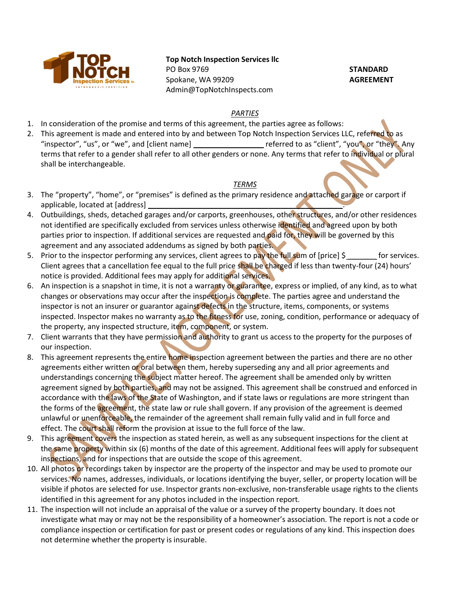

# Top Notch Inspection Services llc

PO Box 9769 Spokane, WA 99209 Admin@TopNotchInspects.com **STANDARD** AGREEMENT

### PARTIES

- 1. In consideration of the promise and terms of this agreement, the parties agree as follows:
- 2. This agreement is made and entered into by and between Top Notch Inspection Services LLC, referred to as "inspector", "us", or "we", and [client name] \_\_\_\_\_\_\_\_\_\_\_\_\_\_\_\_\_\_\_\_\_\_\_\_\_\_\_\_\_\_\_\_\_\_\_<br>
referred to as "client", "you", or "they". Any terms that refer to a gender shall refer to all other genders or none. Any terms that refer to individual or plural shall be interchangeable.

# **TERMS**

- 3. The "property", "home", or "premises" is defined as the primary residence and attached garage or carport if applicable, located at [address] \_\_\_\_\_\_\_\_\_\_\_\_\_\_\_\_\_\_\_\_\_\_\_\_\_\_\_\_\_\_\_\_\_\_\_\_\_\_\_\_\_\_\_\_\_\_\_.
- 4. Outbuildings, sheds, detached garages and/or carports, greenhouses, other structures, and/or other residences not identified are specifically excluded from services unless otherwise identified and agreed upon by both parties prior to inspection. If additional services are requested and paid for, they will be governed by this agreement and any associated addendums as signed by both parties.
- 5. Prior to the inspector performing any services, client agrees to pay the full sum of [price]  $\zeta$  for services. Client agrees that a cancellation fee equal to the full price shall be charged if less than twenty-four (24) hours' notice is provided. Additional fees may apply for additional services.
- 6. An inspection is a snapshot in time, it is not a warranty or guarantee, express or implied, of any kind, as to what changes or observations may occur after the inspection is complete. The parties agree and understand the inspector is not an insurer or guarantor against defects in the structure, items, components, or systems inspected. Inspector makes no warranty as to the fitness for use, zoning, condition, performance or adequacy of the property, any inspected structure, item, component, or system.
- 7. Client warrants that they have permission and authority to grant us access to the property for the purposes of our inspection.
- 8. This agreement represents the entire home inspection agreement between the parties and there are no other agreements either written or oral between them, hereby superseding any and all prior agreements and understandings concerning the subject matter hereof. The agreement shall be amended only by written agreement signed by both parties, and may not be assigned. This agreement shall be construed and enforced in accordance with the laws of the State of Washington, and if state laws or regulations are more stringent than the forms of the agreement, the state law or rule shall govern. If any provision of the agreement is deemed unlawful or unenforceable, the remainder of the agreement shall remain fully valid and in full force and effect. The court shall reform the provision at issue to the full force of the law.
- 9. This agreement covers the inspection as stated herein, as well as any subsequent inspections for the client at the same property within six (6) months of the date of this agreement. Additional fees will apply for subsequent inspections, and for inspections that are outside the scope of this agreement.
- 10. All photos or recordings taken by inspector are the property of the inspector and may be used to promote our services. No names, addresses, individuals, or locations identifying the buyer, seller, or property location will be visible if photos are selected for use. Inspector grants non-exclusive, non-transferable usage rights to the clients identified in this agreement for any photos included in the inspection report.
- 11. The inspection will not include an appraisal of the value or a survey of the property boundary. It does not investigate what may or may not be the responsibility of a homeowner's association. The report is not a code or compliance inspection or certification for past or present codes or regulations of any kind. This inspection does not determine whether the property is insurable.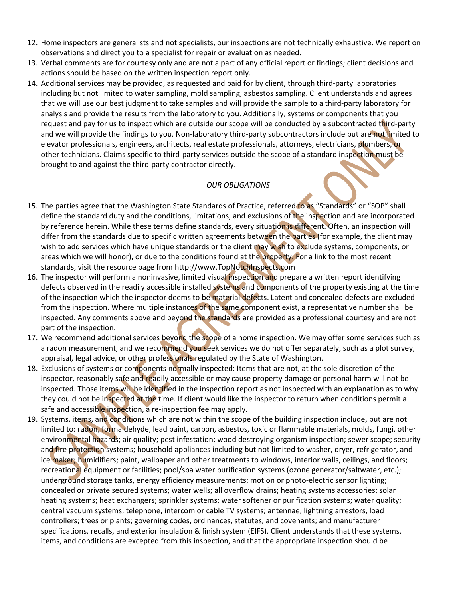- 12. Home inspectors are generalists and not specialists, our inspections are not technically exhaustive. We report on observations and direct you to a specialist for repair or evaluation as needed.
- 13. Verbal comments are for courtesy only and are not a part of any official report or findings; client decisions and actions should be based on the written inspection report only.
- 14. Additional services may be provided, as requested and paid for by client, through third-party laboratories including but not limited to water sampling, mold sampling, asbestos sampling. Client understands and agrees that we will use our best judgment to take samples and will provide the sample to a third-party laboratory for analysis and provide the results from the laboratory to you. Additionally, systems or components that you request and pay for us to inspect which are outside our scope will be conducted by a subcontracted third-party and we will provide the findings to you. Non-laboratory third-party subcontractors include but are not limited to elevator professionals, engineers, architects, real estate professionals, attorneys, electricians, plumbers, or other technicians. Claims specific to third-party services outside the scope of a standard inspection must be brought to and against the third-party contractor directly.

# OUR OBLIGATIONS

- 15. The parties agree that the Washington State Standards of Practice, referred to as "Standards" or "SOP" shall define the standard duty and the conditions, limitations, and exclusions of the inspection and are incorporated by reference herein. While these terms define standards, every situation is different. Often, an inspection will differ from the standards due to specific written agreements between the parties (for example, the client may wish to add services which have unique standards or the client may wish to exclude systems, components, or areas which we will honor), or due to the conditions found at the property. For a link to the most recent standards, visit the resource page from http://www.TopNotchInspects.com
- 16. The inspector will perform a noninvasive, limited visual inspection and prepare a written report identifying defects observed in the readily accessible installed systems and components of the property existing at the time of the inspection which the inspector deems to be material defects. Latent and concealed defects are excluded from the inspection. Where multiple instances of the same component exist, a representative number shall be inspected. Any comments above and beyond the standards are provided as a professional courtesy and are not part of the inspection.
- 17. We recommend additional services beyond the scope of a home inspection. We may offer some services such as a radon measurement, and we recommend you seek services we do not offer separately, such as a plot survey, appraisal, legal advice, or other professionals regulated by the State of Washington.
- 18. Exclusions of systems or components normally inspected: Items that are not, at the sole discretion of the inspector, reasonably safe and readily accessible or may cause property damage or personal harm will not be inspected. Those items will be identified in the inspection report as not inspected with an explanation as to why they could not be inspected at the time. If client would like the inspector to return when conditions permit a safe and accessible inspection, a re-inspection fee may apply.
- 19. Systems, items, and conditions which are not within the scope of the building inspection include, but are not limited to: radon, formaldehyde, lead paint, carbon, asbestos, toxic or flammable materials, molds, fungi, other environmental hazards; air quality; pest infestation; wood destroying organism inspection; sewer scope; security and fire protection systems; household appliances including but not limited to washer, dryer, refrigerator, and ice maker; humidifiers; paint, wallpaper and other treatments to windows, interior walls, ceilings, and floors; recreational equipment or facilities; pool/spa water purification systems (ozone generator/saltwater, etc.); underground storage tanks, energy efficiency measurements; motion or photo-electric sensor lighting; concealed or private secured systems; water wells; all overflow drains; heating systems accessories; solar heating systems; heat exchangers; sprinkler systems; water softener or purification systems; water quality; central vacuum systems; telephone, intercom or cable TV systems; antennae, lightning arrestors, load controllers; trees or plants; governing codes, ordinances, statutes, and covenants; and manufacturer specifications, recalls, and exterior insulation & finish system (EIFS). Client understands that these systems, items, and conditions are excepted from this inspection, and that the appropriate inspection should be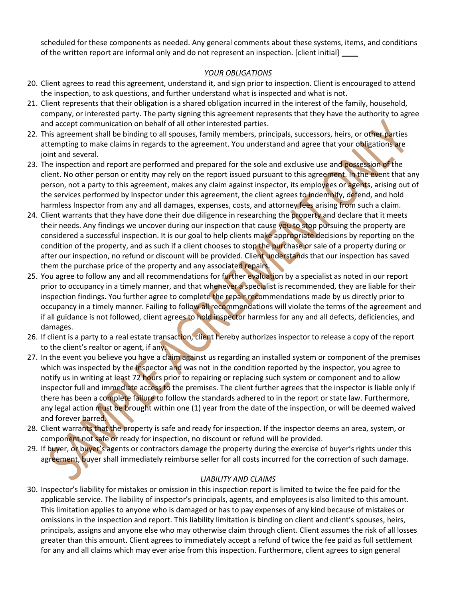scheduled for these components as needed. Any general comments about these systems, items, and conditions of the written report are informal only and do not represent an inspection. [client initial]

# YOUR OBLIGATIONS

- 20. Client agrees to read this agreement, understand it, and sign prior to inspection. Client is encouraged to attend the inspection, to ask questions, and further understand what is inspected and what is not.
- 21. Client represents that their obligation is a shared obligation incurred in the interest of the family, household, company, or interested party. The party signing this agreement represents that they have the authority to agree and accept communication on behalf of all other interested parties.
- 22. This agreement shall be binding to all spouses, family members, principals, successors, heirs, or other parties attempting to make claims in regards to the agreement. You understand and agree that your obligations are joint and several.
- 23. The inspection and report are performed and prepared for the sole and exclusive use and possession of the client. No other person or entity may rely on the report issued pursuant to this agreement. In the event that any person, not a party to this agreement, makes any claim against inspector, its employees or agents, arising out of the services performed by Inspector under this agreement, the client agrees to indemnify, defend, and hold harmless Inspector from any and all damages, expenses, costs, and attorney fees arising from such a claim.
- 24. Client warrants that they have done their due diligence in researching the property and declare that it meets their needs. Any findings we uncover during our inspection that cause you to stop pursuing the property are considered a successful inspection. It is our goal to help clients make appropriate decisions by reporting on the condition of the property, and as such if a client chooses to stop the purchase or sale of a property during or after our inspection, no refund or discount will be provided. Client understands that our inspection has saved them the purchase price of the property and any associated repairs.
- 25. You agree to follow any and all recommendations for further evaluation by a specialist as noted in our report prior to occupancy in a timely manner, and that whenever a specialist is recommended, they are liable for their inspection findings. You further agree to complete the repair recommendations made by us directly prior to occupancy in a timely manner. Failing to follow all recommendations will violate the terms of the agreement and if all guidance is not followed, client agrees to hold inspector harmless for any and all defects, deficiencies, and damages.
- 26. If client is a party to a real estate transaction, client hereby authorizes inspector to release a copy of the report to the client's realtor or agent, if any.
- 27. In the event you believe you have a claim against us regarding an installed system or component of the premises which was inspected by the inspector and was not in the condition reported by the inspector, you agree to notify us in writing at least 72 hours prior to repairing or replacing such system or component and to allow inspector full and immediate access to the premises. The client further agrees that the inspector is liable only if there has been a complete failure to follow the standards adhered to in the report or state law. Furthermore, any legal action must be brought within one (1) year from the date of the inspection, or will be deemed waived and forever barred.
- 28. Client warrants that the property is safe and ready for inspection. If the inspector deems an area, system, or component not safe or ready for inspection, no discount or refund will be provided.
- 29. If buyer, or buyer's agents or contractors damage the property during the exercise of buyer's rights under this agreement, buyer shall immediately reimburse seller for all costs incurred for the correction of such damage.

# LIABILITY AND CLAIMS

30. Inspector's liability for mistakes or omission in this inspection report is limited to twice the fee paid for the applicable service. The liability of inspector's principals, agents, and employees is also limited to this amount. This limitation applies to anyone who is damaged or has to pay expenses of any kind because of mistakes or omissions in the inspection and report. This liability limitation is binding on client and client's spouses, heirs, principals, assigns and anyone else who may otherwise claim through client. Client assumes the risk of all losses greater than this amount. Client agrees to immediately accept a refund of twice the fee paid as full settlement for any and all claims which may ever arise from this inspection. Furthermore, client agrees to sign general